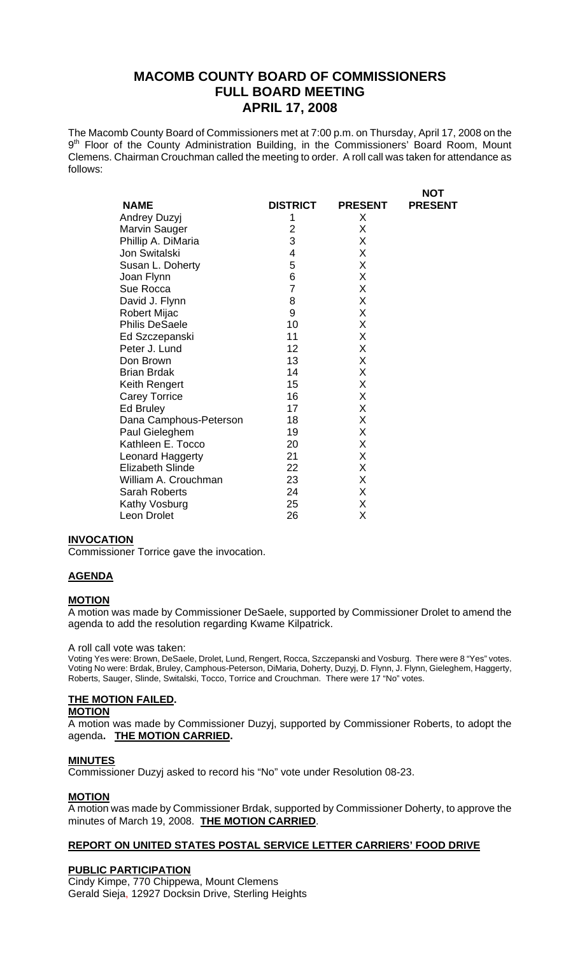The Macomb County Board of Commissioners met at 7:00 p.m. on Thursday, April 17, 2008 on the 9<sup>th</sup> Floor of the County Administration Building, in the Commissioners' Board Room, Mount Clemens. Chairman Crouchman called the meeting to order. A roll call was taken for attendance as follows:

 $\mathbf{N}$ 

|                         |                 |                | ו טא           |
|-------------------------|-----------------|----------------|----------------|
| <b>NAME</b>             | <b>DISTRICT</b> | <b>PRESENT</b> | <b>PRESENT</b> |
| Andrey Duzyj            | 1               | Χ              |                |
| Marvin Sauger           | $\overline{2}$  | X              |                |
| Phillip A. DiMaria      | 3               | X              |                |
| Jon Switalski           | 4               | Χ              |                |
| Susan L. Doherty        | 5               | Χ              |                |
| Joan Flynn              | 6               | Χ              |                |
| Sue Rocca               | 7               | Χ              |                |
| David J. Flynn          | 8               | Χ              |                |
| <b>Robert Mijac</b>     | 9               | Χ              |                |
| <b>Philis DeSaele</b>   | 10              | Χ              |                |
| Ed Szczepanski          | 11              | X              |                |
| Peter J. Lund           | 12              | Χ              |                |
| Don Brown               | 13              | X              |                |
| <b>Brian Brdak</b>      | 14              | Χ              |                |
| Keith Rengert           | 15              | Χ              |                |
| <b>Carey Torrice</b>    | 16              | Χ              |                |
| Ed Bruley               | 17              | Χ              |                |
| Dana Camphous-Peterson  | 18              | X              |                |
| Paul Gieleghem          | 19              | X              |                |
| Kathleen E. Tocco       | 20              | X              |                |
| Leonard Haggerty        | 21              | X              |                |
| <b>Elizabeth Slinde</b> | 22              | X              |                |
| William A. Crouchman    | 23              | X              |                |
| <b>Sarah Roberts</b>    | 24              | X              |                |
| Kathy Vosburg           | 25              | X              |                |
| Leon Drolet             | 26              | Χ              |                |
|                         |                 |                |                |

#### **INVOCATION**

Commissioner Torrice gave the invocation.

#### **AGENDA**

#### **MOTION**

A motion was made by Commissioner DeSaele, supported by Commissioner Drolet to amend the agenda to add the resolution regarding Kwame Kilpatrick.

#### A roll call vote was taken:

Voting Yes were: Brown, DeSaele, Drolet, Lund, Rengert, Rocca, Szczepanski and Vosburg. There were 8 "Yes" votes. Voting No were: Brdak, Bruley, Camphous-Peterson, DiMaria, Doherty, Duzyj, D. Flynn, J. Flynn, Gieleghem, Haggerty, Roberts, Sauger, Slinde, Switalski, Tocco, Torrice and Crouchman. There were 17 "No" votes.

# **THE MOTION FAILED.**

# **MOTION**

A motion was made by Commissioner Duzyj, supported by Commissioner Roberts, to adopt the agenda**. THE MOTION CARRIED.** 

#### **MINUTES**

Commissioner Duzyj asked to record his "No" vote under Resolution 08-23.

#### **MOTION**

A motion was made by Commissioner Brdak, supported by Commissioner Doherty, to approve the minutes of March 19, 2008. **THE MOTION CARRIED**.

#### **REPORT ON UNITED STATES POSTAL SERVICE LETTER CARRIERS' FOOD DRIVE**

#### **PUBLIC PARTICIPATION**

Cindy Kimpe, 770 Chippewa, Mount Clemens Gerald Sieja, 12927 Docksin Drive, Sterling Heights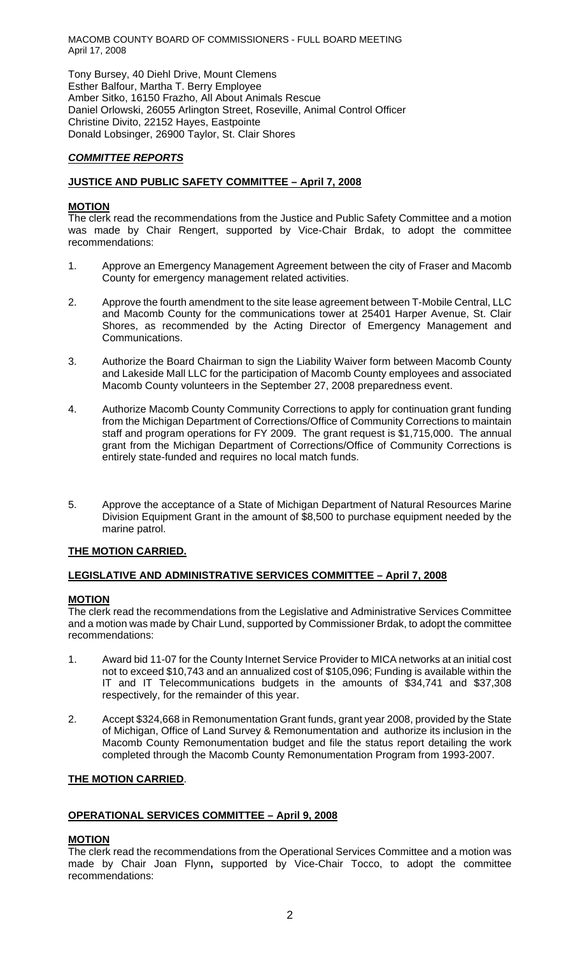Tony Bursey, 40 Diehl Drive, Mount Clemens Esther Balfour, Martha T. Berry Employee Amber Sitko, 16150 Frazho, All About Animals Rescue Daniel Orlowski, 26055 Arlington Street, Roseville, Animal Control Officer Christine Divito, 22152 Hayes, Eastpointe Donald Lobsinger, 26900 Taylor, St. Clair Shores

# *COMMITTEE REPORTS*

# **JUSTICE AND PUBLIC SAFETY COMMITTEE – April 7, 2008**

## **MOTION**

The clerk read the recommendations from the Justice and Public Safety Committee and a motion was made by Chair Rengert, supported by Vice-Chair Brdak, to adopt the committee recommendations:

- 1. Approve an Emergency Management Agreement between the city of Fraser and Macomb County for emergency management related activities.
- 2. Approve the fourth amendment to the site lease agreement between T-Mobile Central, LLC and Macomb County for the communications tower at 25401 Harper Avenue, St. Clair Shores, as recommended by the Acting Director of Emergency Management and Communications.
- 3. Authorize the Board Chairman to sign the Liability Waiver form between Macomb County and Lakeside Mall LLC for the participation of Macomb County employees and associated Macomb County volunteers in the September 27, 2008 preparedness event.
- 4. Authorize Macomb County Community Corrections to apply for continuation grant funding from the Michigan Department of Corrections/Office of Community Corrections to maintain staff and program operations for FY 2009. The grant request is \$1,715,000. The annual grant from the Michigan Department of Corrections/Office of Community Corrections is entirely state-funded and requires no local match funds.
- 5. Approve the acceptance of a State of Michigan Department of Natural Resources Marine Division Equipment Grant in the amount of \$8,500 to purchase equipment needed by the marine patrol.

## **THE MOTION CARRIED.**

## **LEGISLATIVE AND ADMINISTRATIVE SERVICES COMMITTEE – April 7, 2008**

## **MOTION**

The clerk read the recommendations from the Legislative and Administrative Services Committee and a motion was made by Chair Lund, supported by Commissioner Brdak, to adopt the committee recommendations:

- 1. Award bid 11-07 for the County Internet Service Provider to MICA networks at an initial cost not to exceed \$10,743 and an annualized cost of \$105,096; Funding is available within the IT and IT Telecommunications budgets in the amounts of \$34,741 and \$37,308 respectively, for the remainder of this year.
- 2. Accept \$324,668 in Remonumentation Grant funds, grant year 2008, provided by the State of Michigan, Office of Land Survey & Remonumentation and authorize its inclusion in the Macomb County Remonumentation budget and file the status report detailing the work completed through the Macomb County Remonumentation Program from 1993-2007.

## **THE MOTION CARRIED**.

## **OPERATIONAL SERVICES COMMITTEE – April 9, 2008**

## **MOTION**

The clerk read the recommendations from the Operational Services Committee and a motion was made by Chair Joan Flynn**,** supported by Vice-Chair Tocco, to adopt the committee recommendations: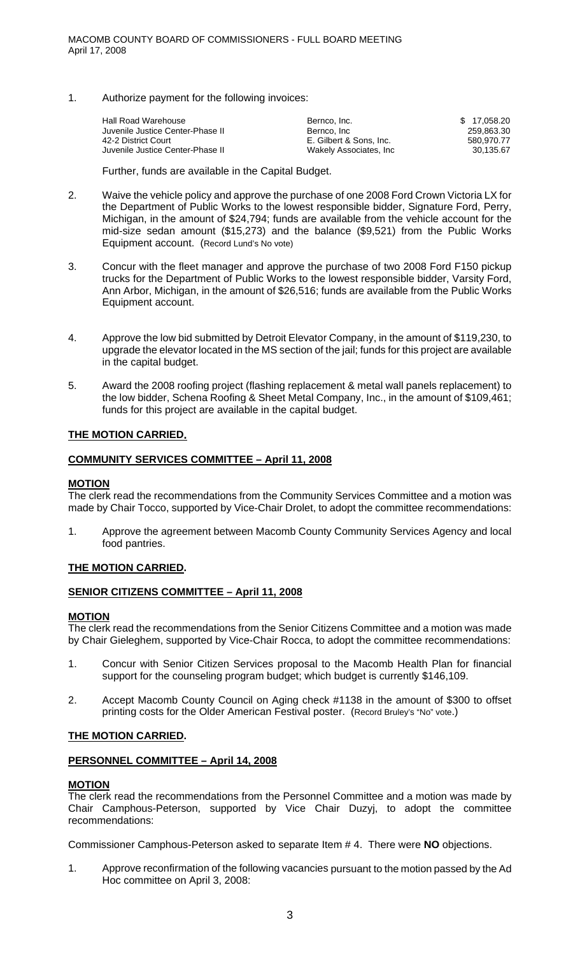1. Authorize payment for the following invoices:

| Hall Road Warehouse              | Bernco, Inc.            | \$17.058.20 |
|----------------------------------|-------------------------|-------------|
| Juvenile Justice Center-Phase II | Bernco, Inc.            | 259.863.30  |
| 42-2 District Court              | E. Gilbert & Sons. Inc. | 580.970.77  |
| Juvenile Justice Center-Phase II | Wakely Associates, Inc. | 30.135.67   |
|                                  |                         |             |

Further, funds are available in the Capital Budget.

- 2. Waive the vehicle policy and approve the purchase of one 2008 Ford Crown Victoria LX for the Department of Public Works to the lowest responsible bidder, Signature Ford, Perry, Michigan, in the amount of \$24,794; funds are available from the vehicle account for the mid-size sedan amount (\$15,273) and the balance (\$9,521) from the Public Works Equipment account. (Record Lund's No vote)
- 3. Concur with the fleet manager and approve the purchase of two 2008 Ford F150 pickup trucks for the Department of Public Works to the lowest responsible bidder, Varsity Ford, Ann Arbor, Michigan, in the amount of \$26,516; funds are available from the Public Works Equipment account.
- 4. Approve the low bid submitted by Detroit Elevator Company, in the amount of \$119,230, to upgrade the elevator located in the MS section of the jail; funds for this project are available in the capital budget.
- 5. Award the 2008 roofing project (flashing replacement & metal wall panels replacement) to the low bidder, Schena Roofing & Sheet Metal Company, Inc., in the amount of \$109,461; funds for this project are available in the capital budget.

# **THE MOTION CARRIED.**

## **COMMUNITY SERVICES COMMITTEE – April 11, 2008**

## **MOTION**

The clerk read the recommendations from the Community Services Committee and a motion was made by Chair Tocco, supported by Vice-Chair Drolet, to adopt the committee recommendations:

1. Approve the agreement between Macomb County Community Services Agency and local food pantries.

## **THE MOTION CARRIED.**

## **SENIOR CITIZENS COMMITTEE – April 11, 2008**

#### **MOTION**

The clerk read the recommendations from the Senior Citizens Committee and a motion was made by Chair Gieleghem, supported by Vice-Chair Rocca, to adopt the committee recommendations:

- 1. Concur with Senior Citizen Services proposal to the Macomb Health Plan for financial support for the counseling program budget; which budget is currently \$146,109.
- 2. Accept Macomb County Council on Aging check #1138 in the amount of \$300 to offset printing costs for the Older American Festival poster. (Record Bruley's "No" vote.)

#### **THE MOTION CARRIED.**

## **PERSONNEL COMMITTEE – April 14, 2008**

#### **MOTION**

The clerk read the recommendations from the Personnel Committee and a motion was made by Chair Camphous-Peterson, supported by Vice Chair Duzyj, to adopt the committee recommendations:

Commissioner Camphous-Peterson asked to separate Item # 4. There were **NO** objections.

1. Approve reconfirmation of the following vacancies pursuant to the motion passed by the Ad Hoc committee on April 3, 2008: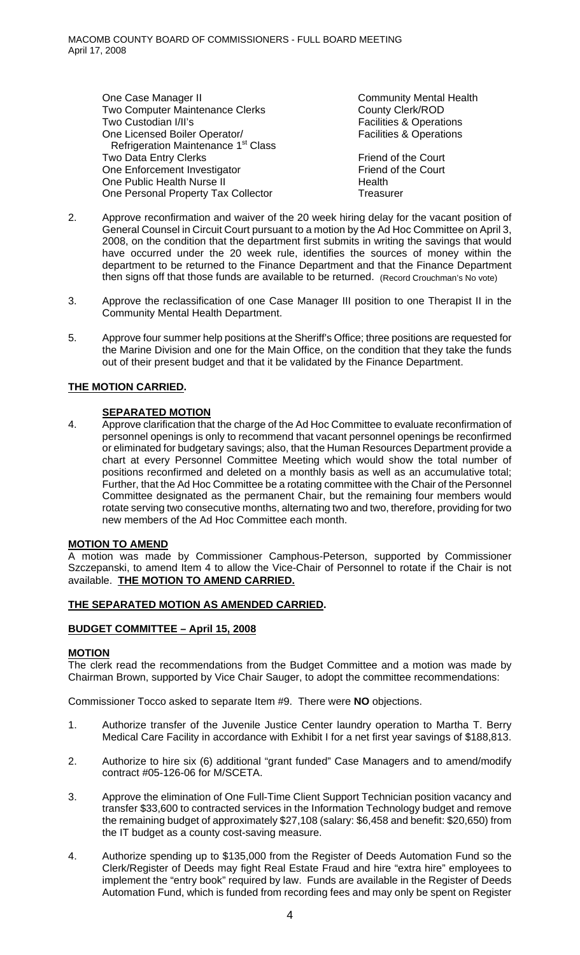One Case Manager II Community Mental Health Two Computer Maintenance Clerks County Clerk/ROD Two Custodian I/II's Two Custodian I/II's Two Custodian I/II's Two Custodian I/II's One Licensed Boiler Operator/ Facilities & Operations Refrigeration Maintenance 1<sup>st</sup> Class Two Data Entry Clerks Friend of the Court One Enforcement Investigator Friend of the Court One Public Health Nurse II **Health** One Personal Property Tax Collector Treasurer

- 2. Approve reconfirmation and waiver of the 20 week hiring delay for the vacant position of General Counsel in Circuit Court pursuant to a motion by the Ad Hoc Committee on April 3, 2008, on the condition that the department first submits in writing the savings that would have occurred under the 20 week rule, identifies the sources of money within the department to be returned to the Finance Department and that the Finance Department then signs off that those funds are available to be returned. (Record Crouchman's No vote)
- 3. Approve the reclassification of one Case Manager III position to one Therapist II in the Community Mental Health Department.
- 5. Approve four summer help positions at the Sheriff's Office; three positions are requested for the Marine Division and one for the Main Office, on the condition that they take the funds out of their present budget and that it be validated by the Finance Department.

# **THE MOTION CARRIED.**

## **SEPARATED MOTION**

4. Approve clarification that the charge of the Ad Hoc Committee to evaluate reconfirmation of personnel openings is only to recommend that vacant personnel openings be reconfirmed or eliminated for budgetary savings; also, that the Human Resources Department provide a chart at every Personnel Committee Meeting which would show the total number of positions reconfirmed and deleted on a monthly basis as well as an accumulative total; Further, that the Ad Hoc Committee be a rotating committee with the Chair of the Personnel Committee designated as the permanent Chair, but the remaining four members would rotate serving two consecutive months, alternating two and two, therefore, providing for two new members of the Ad Hoc Committee each month.

## **MOTION TO AMEND**

A motion was made by Commissioner Camphous-Peterson, supported by Commissioner Szczepanski, to amend Item 4 to allow the Vice-Chair of Personnel to rotate if the Chair is not available. **THE MOTION TO AMEND CARRIED.** 

## **THE SEPARATED MOTION AS AMENDED CARRIED.**

## **BUDGET COMMITTEE – April 15, 2008**

## **MOTION**

The clerk read the recommendations from the Budget Committee and a motion was made by Chairman Brown, supported by Vice Chair Sauger, to adopt the committee recommendations:

Commissioner Tocco asked to separate Item #9. There were **NO** objections.

- 1. Authorize transfer of the Juvenile Justice Center laundry operation to Martha T. Berry Medical Care Facility in accordance with Exhibit I for a net first year savings of \$188,813.
- 2. Authorize to hire six (6) additional "grant funded" Case Managers and to amend/modify contract #05-126-06 for M/SCETA.
- 3. Approve the elimination of One Full-Time Client Support Technician position vacancy and transfer \$33,600 to contracted services in the Information Technology budget and remove the remaining budget of approximately \$27,108 (salary: \$6,458 and benefit: \$20,650) from the IT budget as a county cost-saving measure.
- 4. Authorize spending up to \$135,000 from the Register of Deeds Automation Fund so the Clerk/Register of Deeds may fight Real Estate Fraud and hire "extra hire" employees to implement the "entry book" required by law. Funds are available in the Register of Deeds Automation Fund, which is funded from recording fees and may only be spent on Register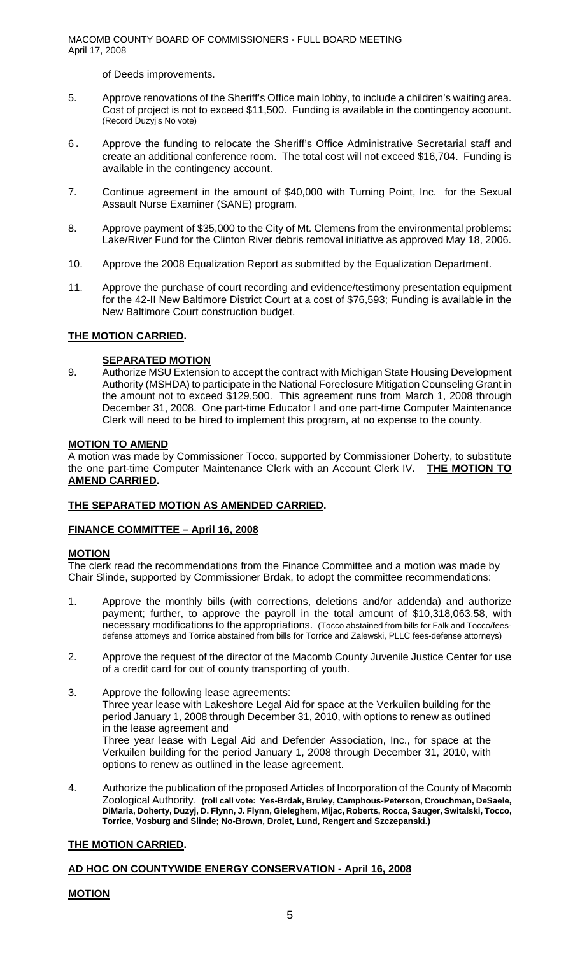of Deeds improvements.

- 5. Approve renovations of the Sheriff's Office main lobby, to include a children's waiting area. Cost of project is not to exceed \$11,500. Funding is available in the contingency account. (Record Duzyj's No vote)
- 6. Approve the funding to relocate the Sheriff's Office Administrative Secretarial staff and create an additional conference room. The total cost will not exceed \$16,704. Funding is available in the contingency account.
- 7. Continue agreement in the amount of \$40,000 with Turning Point, Inc. for the Sexual Assault Nurse Examiner (SANE) program.
- 8. Approve payment of \$35,000 to the City of Mt. Clemens from the environmental problems: Lake/River Fund for the Clinton River debris removal initiative as approved May 18, 2006.
- 10. Approve the 2008 Equalization Report as submitted by the Equalization Department.
- 11. Approve the purchase of court recording and evidence/testimony presentation equipment for the 42-II New Baltimore District Court at a cost of \$76,593; Funding is available in the New Baltimore Court construction budget.

## **THE MOTION CARRIED.**

#### **SEPARATED MOTION**

9. Authorize MSU Extension to accept the contract with Michigan State Housing Development Authority (MSHDA) to participate in the National Foreclosure Mitigation Counseling Grant in the amount not to exceed \$129,500. This agreement runs from March 1, 2008 through December 31, 2008. One part-time Educator I and one part-time Computer Maintenance Clerk will need to be hired to implement this program, at no expense to the county.

#### **MOTION TO AMEND**

A motion was made by Commissioner Tocco, supported by Commissioner Doherty, to substitute the one part-time Computer Maintenance Clerk with an Account Clerk IV. **THE MOTION TO AMEND CARRIED.** 

## **THE SEPARATED MOTION AS AMENDED CARRIED.**

#### **FINANCE COMMITTEE – April 16, 2008**

#### **MOTION**

The clerk read the recommendations from the Finance Committee and a motion was made by Chair Slinde, supported by Commissioner Brdak, to adopt the committee recommendations:

- 1. Approve the monthly bills (with corrections, deletions and/or addenda) and authorize payment; further, to approve the payroll in the total amount of \$10,318,063.58, with necessary modifications to the appropriations. (Tocco abstained from bills for Falk and Tocco/feesdefense attorneys and Torrice abstained from bills for Torrice and Zalewski, PLLC fees-defense attorneys)
- 2. Approve the request of the director of the Macomb County Juvenile Justice Center for use of a credit card for out of county transporting of youth.
- 3. Approve the following lease agreements: Three year lease with Lakeshore Legal Aid for space at the Verkuilen building for the period January 1, 2008 through December 31, 2010, with options to renew as outlined in the lease agreement and Three year lease with Legal Aid and Defender Association, Inc., for space at the Verkuilen building for the period January 1, 2008 through December 31, 2010, with options to renew as outlined in the lease agreement.
- 4. Authorize the publication of the proposed Articles of Incorporation of the County of Macomb Zoological Authority. **(roll call vote: Yes-Brdak, Bruley, Camphous-Peterson, Crouchman, DeSaele, DiMaria, Doherty, Duzyj, D. Flynn, J. Flynn, Gieleghem, Mijac, Roberts, Rocca, Sauger, Switalski, Tocco, Torrice, Vosburg and Slinde; No-Brown, Drolet, Lund, Rengert and Szczepanski.)**

## **THE MOTION CARRIED.**

#### **AD HOC ON COUNTYWIDE ENERGY CONSERVATION - April 16, 2008**

## **MOTION**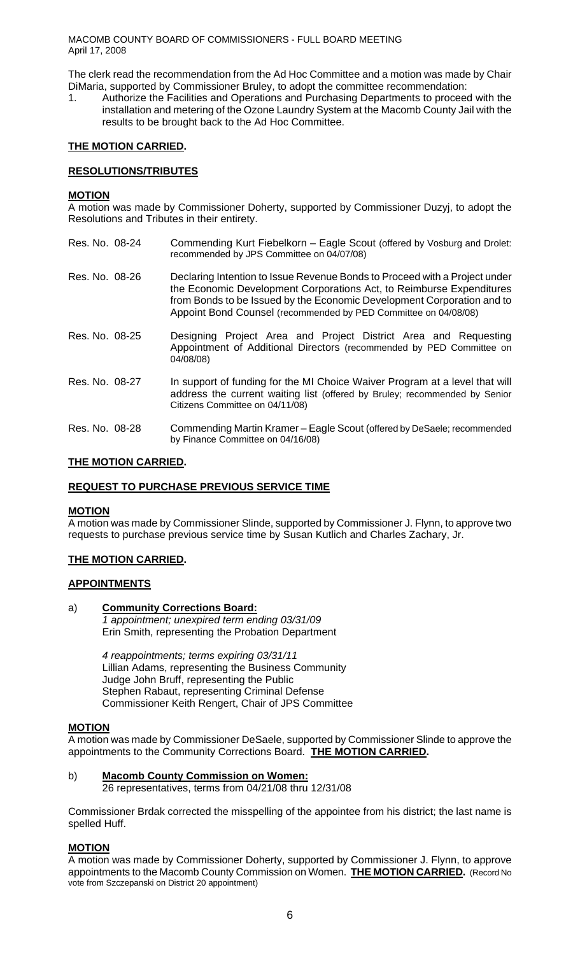The clerk read the recommendation from the Ad Hoc Committee and a motion was made by Chair DiMaria, supported by Commissioner Bruley, to adopt the committee recommendation:

1. Authorize the Facilities and Operations and Purchasing Departments to proceed with the installation and metering of the Ozone Laundry System at the Macomb County Jail with the results to be brought back to the Ad Hoc Committee.

# **THE MOTION CARRIED.**

# **RESOLUTIONS/TRIBUTES**

#### **MOTION**

A motion was made by Commissioner Doherty, supported by Commissioner Duzyj, to adopt the Resolutions and Tributes in their entirety.

- Res. No. 08-24 Commending Kurt Fiebelkorn Eagle Scout (offered by Vosburg and Drolet: recommended by JPS Committee on 04/07/08)
- Res. No. 08-26 Declaring Intention to Issue Revenue Bonds to Proceed with a Project under the Economic Development Corporations Act, to Reimburse Expenditures from Bonds to be Issued by the Economic Development Corporation and to Appoint Bond Counsel (recommended by PED Committee on 04/08/08)
- Res. No. 08-25 Designing Project Area and Project District Area and Requesting Appointment of Additional Directors (recommended by PED Committee on 04/08/08)
- Res. No. 08-27 In support of funding for the MI Choice Waiver Program at a level that will address the current waiting list (offered by Bruley; recommended by Senior Citizens Committee on 04/11/08)
- Res. No. 08-28 Commending Martin Kramer Eagle Scout (offered by DeSaele; recommended by Finance Committee on 04/16/08)

# **THE MOTION CARRIED.**

## **REQUEST TO PURCHASE PREVIOUS SERVICE TIME**

#### **MOTION**

A motion was made by Commissioner Slinde, supported by Commissioner J. Flynn, to approve two requests to purchase previous service time by Susan Kutlich and Charles Zachary, Jr.

## **THE MOTION CARRIED.**

# **APPOINTMENTS**

#### a) **Community Corrections Board:**

*1 appointment; unexpired term ending 03/31/09*  Erin Smith, representing the Probation Department

*4 reappointments; terms expiring 03/31/11*  Lillian Adams, representing the Business Community Judge John Bruff, representing the Public Stephen Rabaut, representing Criminal Defense Commissioner Keith Rengert, Chair of JPS Committee

#### **MOTION**

A motion was made by Commissioner DeSaele, supported by Commissioner Slinde to approve the appointments to the Community Corrections Board. **THE MOTION CARRIED.** 

#### b) **Macomb County Commission on Women:** 26 representatives, terms from 04/21/08 thru 12/31/08

Commissioner Brdak corrected the misspelling of the appointee from his district; the last name is spelled Huff.

#### **MOTION**

A motion was made by Commissioner Doherty, supported by Commissioner J. Flynn, to approve appointments to the Macomb County Commission on Women. **THE MOTION CARRIED.** (Record No vote from Szczepanski on District 20 appointment)